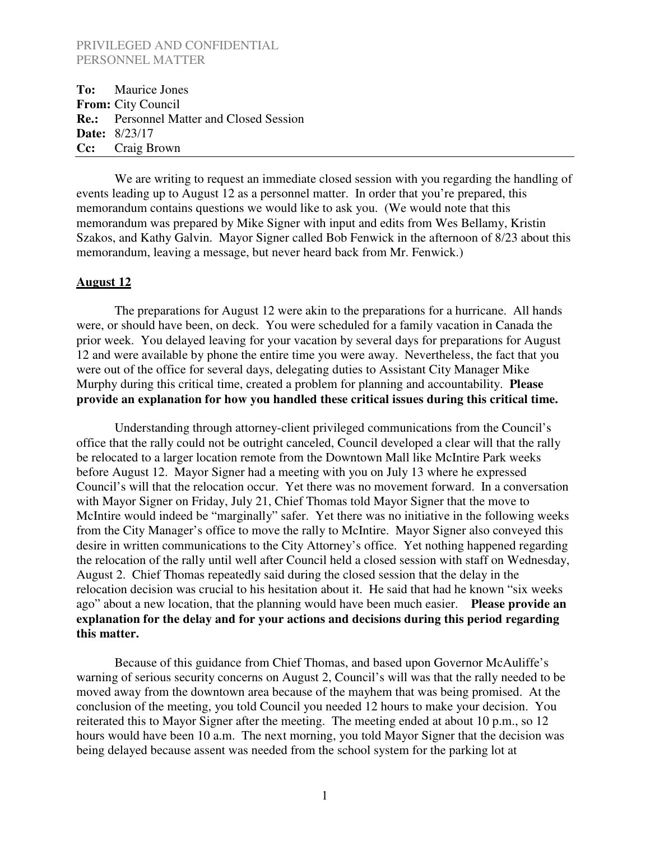**To:** Maurice Jones **From:** City Council **Re.:** Personnel Matter and Closed Session **Date:** 8/23/17 **Cc:** Craig Brown

We are writing to request an immediate closed session with you regarding the handling of events leading up to August 12 as a personnel matter. In order that you're prepared, this memorandum contains questions we would like to ask you. (We would note that this memorandum was prepared by Mike Signer with input and edits from Wes Bellamy, Kristin Szakos, and Kathy Galvin. Mayor Signer called Bob Fenwick in the afternoon of 8/23 about this memorandum, leaving a message, but never heard back from Mr. Fenwick.)

#### **August 12**

The preparations for August 12 were akin to the preparations for a hurricane. All hands were, or should have been, on deck. You were scheduled for a family vacation in Canada the prior week. You delayed leaving for your vacation by several days for preparations for August 12 and were available by phone the entire time you were away. Nevertheless, the fact that you were out of the office for several days, delegating duties to Assistant City Manager Mike Murphy during this critical time, created a problem for planning and accountability. **Please provide an explanation for how you handled these critical issues during this critical time.**

Understanding through attorney-client privileged communications from the Council's office that the rally could not be outright canceled, Council developed a clear will that the rally be relocated to a larger location remote from the Downtown Mall like McIntire Park weeks before August 12. Mayor Signer had a meeting with you on July 13 where he expressed Council's will that the relocation occur. Yet there was no movement forward. In a conversation with Mayor Signer on Friday, July 21, Chief Thomas told Mayor Signer that the move to McIntire would indeed be "marginally" safer. Yet there was no initiative in the following weeks from the City Manager's office to move the rally to McIntire. Mayor Signer also conveyed this desire in written communications to the City Attorney's office. Yet nothing happened regarding the relocation of the rally until well after Council held a closed session with staff on Wednesday, August 2. Chief Thomas repeatedly said during the closed session that the delay in the relocation decision was crucial to his hesitation about it. He said that had he known "six weeks ago" about a new location, that the planning would have been much easier. **Please provide an explanation for the delay and for your actions and decisions during this period regarding this matter.**

Because of this guidance from Chief Thomas, and based upon Governor McAuliffe's warning of serious security concerns on August 2, Council's will was that the rally needed to be moved away from the downtown area because of the mayhem that was being promised. At the conclusion of the meeting, you told Council you needed 12 hours to make your decision. You reiterated this to Mayor Signer after the meeting. The meeting ended at about 10 p.m., so 12 hours would have been 10 a.m. The next morning, you told Mayor Signer that the decision was being delayed because assent was needed from the school system for the parking lot at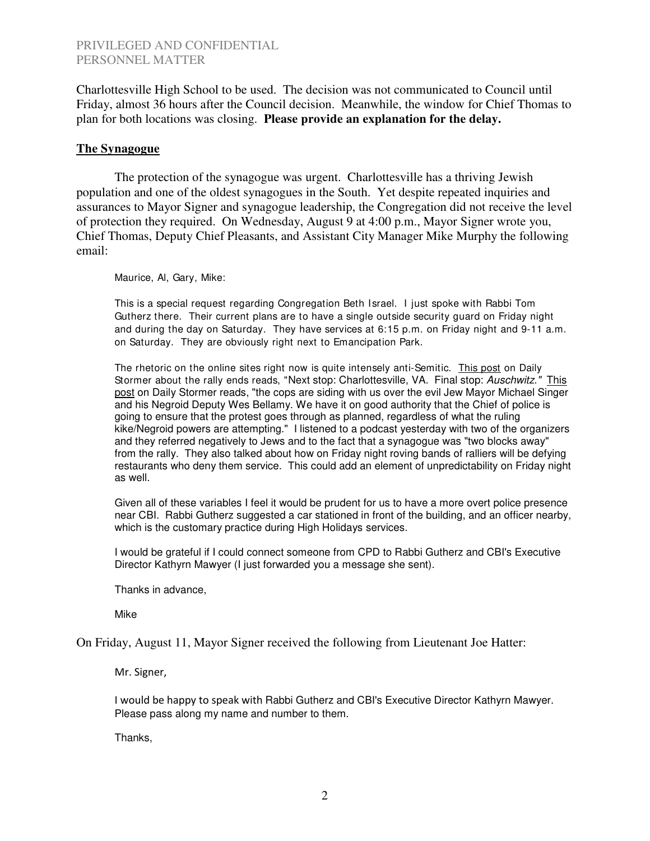Charlottesville High School to be used. The decision was not communicated to Council until Friday, almost 36 hours after the Council decision. Meanwhile, the window for Chief Thomas to plan for both locations was closing. **Please provide an explanation for the delay.**

#### **The Synagogue**

The protection of the synagogue was urgent. Charlottesville has a thriving Jewish population and one of the oldest synagogues in the South. Yet despite repeated inquiries and assurances to Mayor Signer and synagogue leadership, the Congregation did not receive the level of protection they required. On Wednesday, August 9 at 4:00 p.m., Mayor Signer wrote you, Chief Thomas, Deputy Chief Pleasants, and Assistant City Manager Mike Murphy the following email:

Maurice, Al, Gary, Mike:

This is a special request regarding Congregation Beth Israel. I just spoke with Rabbi Tom Gutherz there. Their current plans are to have a single outside security guard on Friday night and during the day on Saturday. They have services at 6:15 p.m. on Friday night and 9-11 a.m. on Saturday. They are obviously right next to Emancipation Park.

The rhetoric on the online sites right now is quite intensely anti-Semitic. This post on Daily Stormer about the rally ends reads, "Next stop: Charlottesville, VA. Final stop: Auschwitz." This post on Daily Stormer reads, "the cops are siding with us over the evil Jew Mayor Michael Singer and his Negroid Deputy Wes Bellamy. We have it on good authority that the Chief of police is going to ensure that the protest goes through as planned, regardless of what the ruling kike/Negroid powers are attempting." I listened to a podcast yesterday with two of the organizers and they referred negatively to Jews and to the fact that a synagogue was "two blocks away" from the rally. They also talked about how on Friday night roving bands of ralliers will be defying restaurants who deny them service. This could add an element of unpredictability on Friday night as well.

Given all of these variables I feel it would be prudent for us to have a more overt police presence near CBI. Rabbi Gutherz suggested a car stationed in front of the building, and an officer nearby, which is the customary practice during High Holidays services.

I would be grateful if I could connect someone from CPD to Rabbi Gutherz and CBI's Executive Director Kathyrn Mawyer (I just forwarded you a message she sent).

Thanks in advance,

Mike

On Friday, August 11, Mayor Signer received the following from Lieutenant Joe Hatter:

Mr. Signer,

I would be happy to speak with Rabbi Gutherz and CBI's Executive Director Kathyrn Mawyer. Please pass along my name and number to them.

Thanks,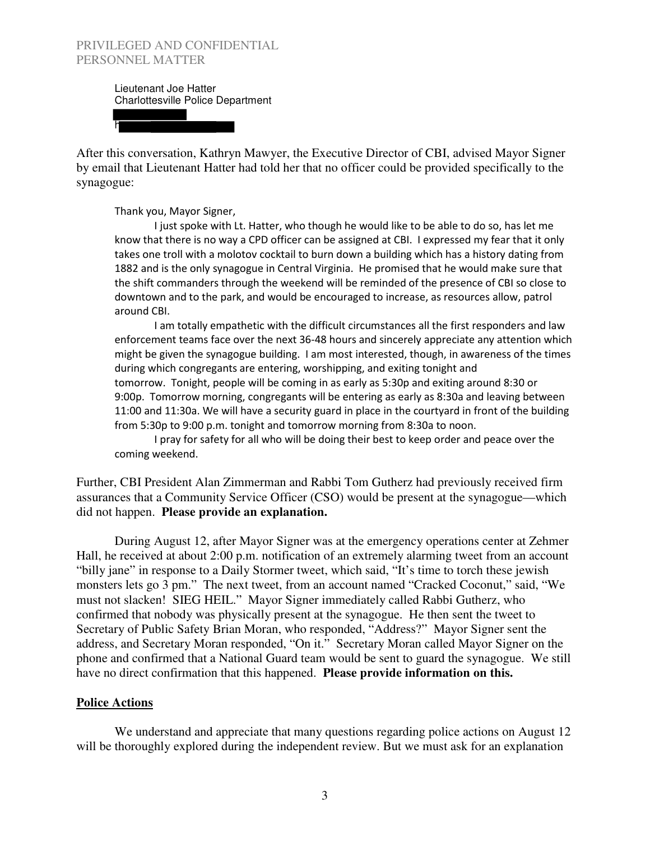h

Lieutenant Joe Hatter Charlottesville Police Department

After this conversation, Kathryn Mawyer, the Executive Director of CBI, advised Mayor Signer by email that Lieutenant Hatter had told her that no officer could be provided specifically to the synagogue:

Thank you, Mayor Signer,

 I just spoke with Lt. Hatter, who though he would like to be able to do so, has let me know that there is no way a CPD officer can be assigned at CBI. I expressed my fear that it only takes one troll with a molotov cocktail to burn down a building which has a history dating from 1882 and is the only synagogue in Central Virginia. He promised that he would make sure that the shift commanders through the weekend will be reminded of the presence of CBI so close to downtown and to the park, and would be encouraged to increase, as resources allow, patrol around CBI.

 I am totally empathetic with the difficult circumstances all the first responders and law enforcement teams face over the next 36-48 hours and sincerely appreciate any attention which might be given the synagogue building. I am most interested, though, in awareness of the times during which congregants are entering, worshipping, and exiting tonight and tomorrow. Tonight, people will be coming in as early as 5:30p and exiting around 8:30 or 9:00p. Tomorrow morning, congregants will be entering as early as 8:30a and leaving between 11:00 and 11:30a. We will have a security guard in place in the courtyard in front of the building from 5:30p to 9:00 p.m. tonight and tomorrow morning from 8:30a to noon.

 I pray for safety for all who will be doing their best to keep order and peace over the coming weekend.

Further, CBI President Alan Zimmerman and Rabbi Tom Gutherz had previously received firm assurances that a Community Service Officer (CSO) would be present at the synagogue—which did not happen. **Please provide an explanation.**

 During August 12, after Mayor Signer was at the emergency operations center at Zehmer Hall, he received at about 2:00 p.m. notification of an extremely alarming tweet from an account "billy jane" in response to a Daily Stormer tweet, which said, "It's time to torch these jewish monsters lets go 3 pm." The next tweet, from an account named "Cracked Coconut," said, "We must not slacken! SIEG HEIL." Mayor Signer immediately called Rabbi Gutherz, who confirmed that nobody was physically present at the synagogue. He then sent the tweet to Secretary of Public Safety Brian Moran, who responded, "Address?" Mayor Signer sent the address, and Secretary Moran responded, "On it." Secretary Moran called Mayor Signer on the phone and confirmed that a National Guard team would be sent to guard the synagogue. We still have no direct confirmation that this happened. **Please provide information on this.**

#### **Police Actions**

We understand and appreciate that many questions regarding police actions on August 12 will be thoroughly explored during the independent review. But we must ask for an explanation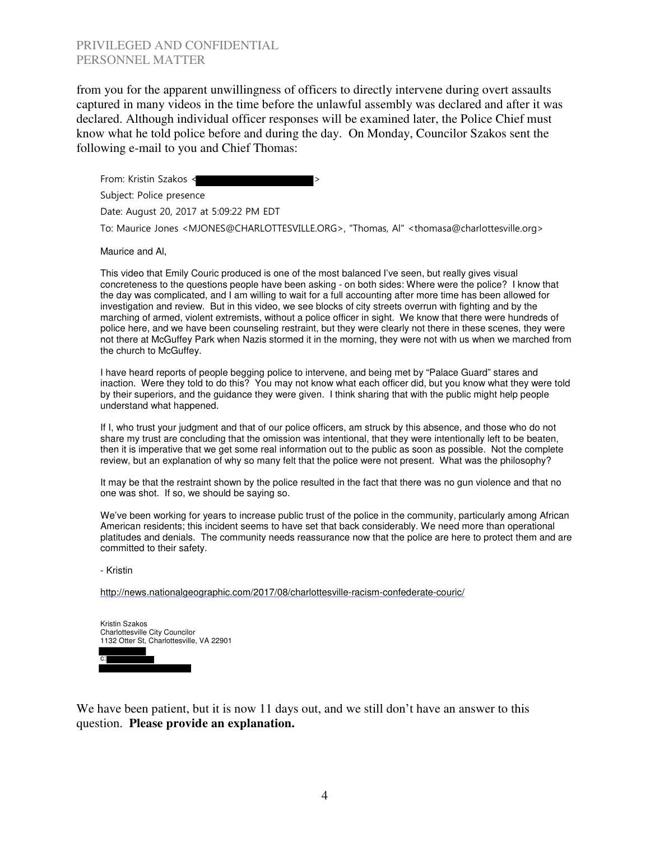from you for the apparent unwillingness of officers to directly intervene during overt assaults captured in many videos in the time before the unlawful assembly was declared and after it was declared. Although individual officer responses will be examined later, the Police Chief must know what he told police before and during the day. On Monday, Councilor Szakos sent the following e-mail to you and Chief Thomas:

From: Kristin Szakos < Subject: Police presence Date: August 20, 2017 at 5:09:22 PM EDT To: Maurice Jones <MJONES@CHARLOTTESVILLE.ORG>, "Thomas, Al" <thomasa@charlottesville.org>

Maurice and Al,

This video that Emily Couric produced is one of the most balanced I've seen, but really gives visual concreteness to the questions people have been asking - on both sides: Where were the police? I know that the day was complicated, and I am willing to wait for a full accounting after more time has been allowed for investigation and review. But in this video, we see blocks of city streets overrun with fighting and by the marching of armed, violent extremists, without a police officer in sight. We know that there were hundreds of police here, and we have been counseling restraint, but they were clearly not there in these scenes, they were not there at McGuffey Park when Nazis stormed it in the morning, they were not with us when we marched from the church to McGuffey.

I have heard reports of people begging police to intervene, and being met by "Palace Guard" stares and inaction. Were they told to do this? You may not know what each officer did, but you know what they were told by their superiors, and the guidance they were given. I think sharing that with the public might help people understand what happened.

If I, who trust your judgment and that of our police officers, am struck by this absence, and those who do not share my trust are concluding that the omission was intentional, that they were intentionally left to be beaten, then it is imperative that we get some real information out to the public as soon as possible. Not the complete review, but an explanation of why so many felt that the police were not present. What was the philosophy?

It may be that the restraint shown by the police resulted in the fact that there was no gun violence and that no one was shot. If so, we should be saying so.

We've been working for years to increase public trust of the police in the community, particularly among African American residents; this incident seems to have set that back considerably. We need more than operational platitudes and denials. The community needs reassurance now that the police are here to protect them and are committed to their safety.

- Kristin

http://news.nationalgeographic.com/2017/08/charlottesville-racism-confederate-couric/

| Kristin Szakos<br><b>Charlottesville City Councilor</b><br>1132 Otter St. Charlottesville, VA 22901 |  |
|-----------------------------------------------------------------------------------------------------|--|
|                                                                                                     |  |
| c:                                                                                                  |  |

We have been patient, but it is now 11 days out, and we still don't have an answer to this question. **Please provide an explanation.**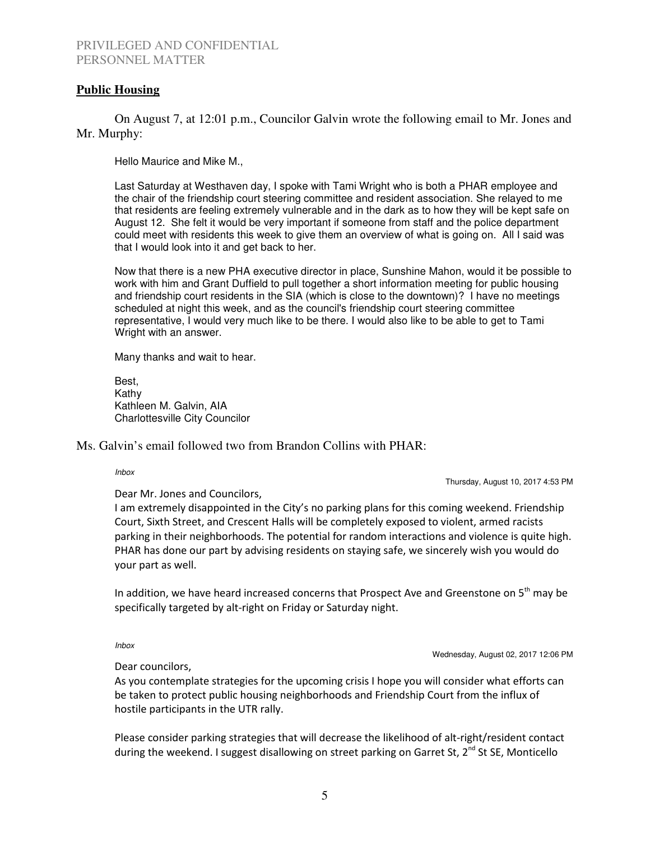# **Public Housing**

 On August 7, at 12:01 p.m., Councilor Galvin wrote the following email to Mr. Jones and Mr. Murphy:

Hello Maurice and Mike M.,

Last Saturday at Westhaven day, I spoke with Tami Wright who is both a PHAR employee and the chair of the friendship court steering committee and resident association. She relayed to me that residents are feeling extremely vulnerable and in the dark as to how they will be kept safe on August 12. She felt it would be very important if someone from staff and the police department could meet with residents this week to give them an overview of what is going on. All I said was that I would look into it and get back to her.

Now that there is a new PHA executive director in place, Sunshine Mahon, would it be possible to work with him and Grant Duffield to pull together a short information meeting for public housing and friendship court residents in the SIA (which is close to the downtown)? I have no meetings scheduled at night this week, and as the council's friendship court steering committee representative, I would very much like to be there. I would also like to be able to get to Tami Wright with an answer.

Many thanks and wait to hear.

Best, Kathy Kathleen M. Galvin, AIA Charlottesville City Councilor

Ms. Galvin's email followed two from Brandon Collins with PHAR:

Inbox

Thursday, August 10, 2017 4:53 PM

Dear Mr. Jones and Councilors,

I am extremely disappointed in the City's no parking plans for this coming weekend. Friendship Court, Sixth Street, and Crescent Halls will be completely exposed to violent, armed racists parking in their neighborhoods. The potential for random interactions and violence is quite high. PHAR has done our part by advising residents on staying safe, we sincerely wish you would do your part as well.

In addition, we have heard increased concerns that Prospect Ave and Greenstone on  $5<sup>th</sup>$  may be specifically targeted by alt-right on Friday or Saturday night.

Inbox

Wednesday, August 02, 2017 12:06 PM

Dear councilors,

As you contemplate strategies for the upcoming crisis I hope you will consider what efforts can be taken to protect public housing neighborhoods and Friendship Court from the influx of hostile participants in the UTR rally.

Please consider parking strategies that will decrease the likelihood of alt-right/resident contact during the weekend. I suggest disallowing on street parking on Garret St,  $2^{nd}$  St SE, Monticello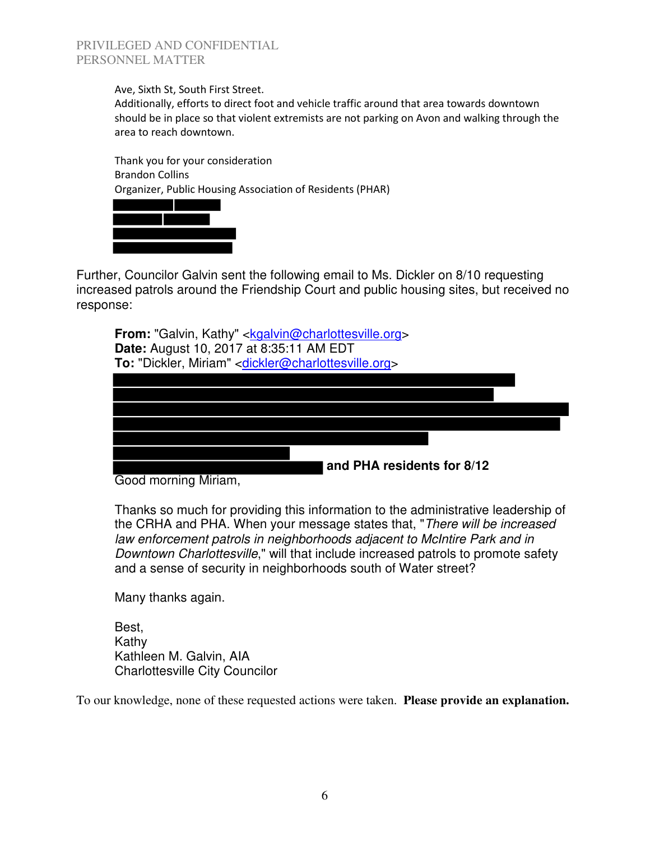Ave, Sixth St, South First Street.

Additionally, efforts to direct foot and vehicle traffic around that area towards downtown should be in place so that violent extremists are not parking on Avon and walking through the area to reach downtown.

Thank you for your consideration Brandon Collins Organizer, Public Housing Association of Residents (PHAR)



Further, Councilor Galvin sent the following email to Ms. Dickler on 8/10 requesting increased patrols around the Friendship Court and public housing sites, but received no response:

**From:** "Galvin, Kathy" <**kgalvin@charlottesville.org> Date:** August 10, 2017 at 8:35:11 AM EDT **To:** "Dickler, Miriam" <dickler@charlottesville.org>



Good morning Miriam,

Thanks so much for providing this information to the administrative leadership of the CRHA and PHA. When your message states that, "There will be increased law enforcement patrols in neighborhoods adjacent to McIntire Park and in Downtown Charlottesville," will that include increased patrols to promote safety and a sense of security in neighborhoods south of Water street?

Many thanks again.

Best, Kathy Kathleen M. Galvin, AIA Charlottesville City Councilor

To our knowledge, none of these requested actions were taken. **Please provide an explanation.**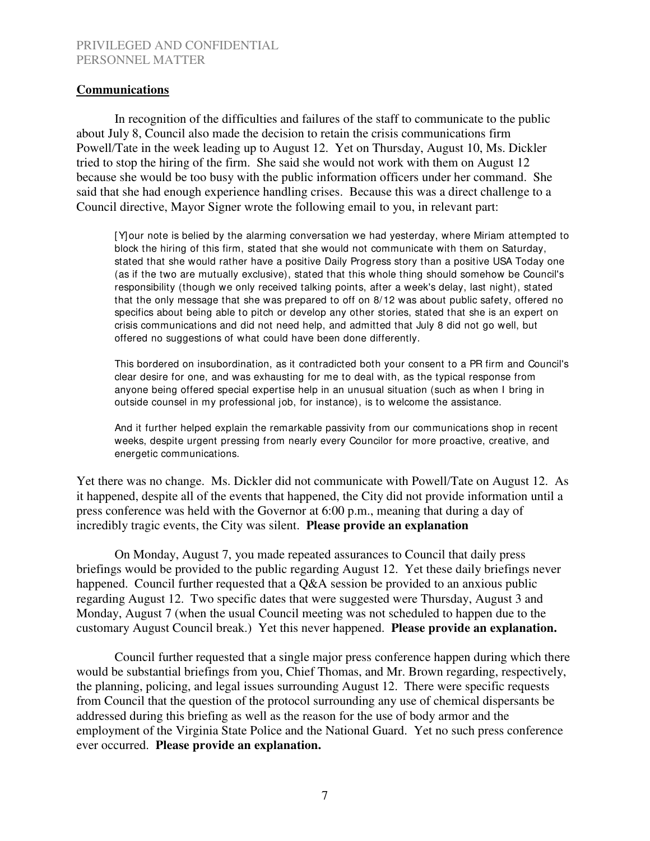### **Communications**

In recognition of the difficulties and failures of the staff to communicate to the public about July 8, Council also made the decision to retain the crisis communications firm Powell/Tate in the week leading up to August 12. Yet on Thursday, August 10, Ms. Dickler tried to stop the hiring of the firm. She said she would not work with them on August 12 because she would be too busy with the public information officers under her command. She said that she had enough experience handling crises. Because this was a direct challenge to a Council directive, Mayor Signer wrote the following email to you, in relevant part:

[Y]our note is belied by the alarming conversation we had yesterday, where Miriam attempted to block the hiring of this firm, stated that she would not communicate with them on Saturday, stated that she would rather have a positive Daily Progress story than a positive USA Today one (as if the two are mutually exclusive), stated that this whole thing should somehow be Council's responsibility (though we only received talking points, after a week's delay, last night), stated that the only message that she was prepared to off on 8/12 was about public safety, offered no specifics about being able to pitch or develop any other stories, stated that she is an expert on crisis communications and did not need help, and admitted that July 8 did not go well, but offered no suggestions of what could have been done differently.

This bordered on insubordination, as it contradicted both your consent to a PR firm and Council's clear desire for one, and was exhausting for me to deal with, as the typical response from anyone being offered special expertise help in an unusual situation (such as when I bring in outside counsel in my professional job, for instance), is to welcome the assistance.

And it further helped explain the remarkable passivity from our communications shop in recent weeks, despite urgent pressing from nearly every Councilor for more proactive, creative, and energetic communications.

Yet there was no change. Ms. Dickler did not communicate with Powell/Tate on August 12. As it happened, despite all of the events that happened, the City did not provide information until a press conference was held with the Governor at 6:00 p.m., meaning that during a day of incredibly tragic events, the City was silent. **Please provide an explanation**

On Monday, August 7, you made repeated assurances to Council that daily press briefings would be provided to the public regarding August 12. Yet these daily briefings never happened. Council further requested that a Q&A session be provided to an anxious public regarding August 12. Two specific dates that were suggested were Thursday, August 3 and Monday, August 7 (when the usual Council meeting was not scheduled to happen due to the customary August Council break.) Yet this never happened. **Please provide an explanation.**

Council further requested that a single major press conference happen during which there would be substantial briefings from you, Chief Thomas, and Mr. Brown regarding, respectively, the planning, policing, and legal issues surrounding August 12. There were specific requests from Council that the question of the protocol surrounding any use of chemical dispersants be addressed during this briefing as well as the reason for the use of body armor and the employment of the Virginia State Police and the National Guard. Yet no such press conference ever occurred. **Please provide an explanation.**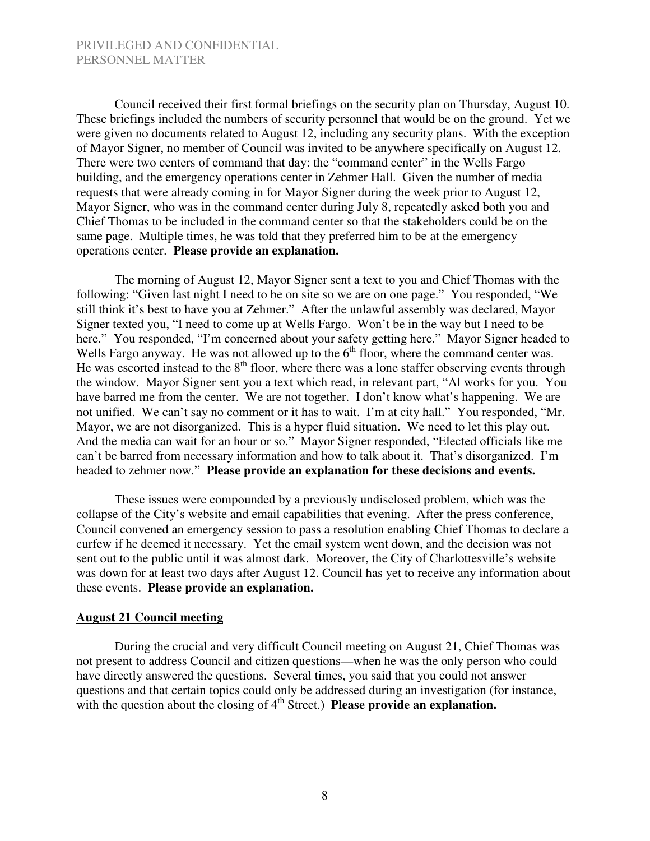Council received their first formal briefings on the security plan on Thursday, August 10. These briefings included the numbers of security personnel that would be on the ground. Yet we were given no documents related to August 12, including any security plans. With the exception of Mayor Signer, no member of Council was invited to be anywhere specifically on August 12. There were two centers of command that day: the "command center" in the Wells Fargo building, and the emergency operations center in Zehmer Hall. Given the number of media requests that were already coming in for Mayor Signer during the week prior to August 12, Mayor Signer, who was in the command center during July 8, repeatedly asked both you and Chief Thomas to be included in the command center so that the stakeholders could be on the same page. Multiple times, he was told that they preferred him to be at the emergency operations center. **Please provide an explanation.**

The morning of August 12, Mayor Signer sent a text to you and Chief Thomas with the following: "Given last night I need to be on site so we are on one page." You responded, "We still think it's best to have you at Zehmer." After the unlawful assembly was declared, Mayor Signer texted you, "I need to come up at Wells Fargo. Won't be in the way but I need to be here." You responded, "I'm concerned about your safety getting here." Mayor Signer headed to Wells Fargo anyway. He was not allowed up to the  $6<sup>th</sup>$  floor, where the command center was. He was escorted instead to the  $8<sup>th</sup>$  floor, where there was a lone staffer observing events through the window. Mayor Signer sent you a text which read, in relevant part, "Al works for you. You have barred me from the center. We are not together. I don't know what's happening. We are not unified. We can't say no comment or it has to wait. I'm at city hall." You responded, "Mr. Mayor, we are not disorganized. This is a hyper fluid situation. We need to let this play out. And the media can wait for an hour or so." Mayor Signer responded, "Elected officials like me can't be barred from necessary information and how to talk about it. That's disorganized. I'm headed to zehmer now." **Please provide an explanation for these decisions and events.**

These issues were compounded by a previously undisclosed problem, which was the collapse of the City's website and email capabilities that evening. After the press conference, Council convened an emergency session to pass a resolution enabling Chief Thomas to declare a curfew if he deemed it necessary. Yet the email system went down, and the decision was not sent out to the public until it was almost dark. Moreover, the City of Charlottesville's website was down for at least two days after August 12. Council has yet to receive any information about these events. **Please provide an explanation.** 

#### **August 21 Council meeting**

 During the crucial and very difficult Council meeting on August 21, Chief Thomas was not present to address Council and citizen questions—when he was the only person who could have directly answered the questions. Several times, you said that you could not answer questions and that certain topics could only be addressed during an investigation (for instance, with the question about the closing of 4<sup>th</sup> Street.) **Please provide an explanation.**